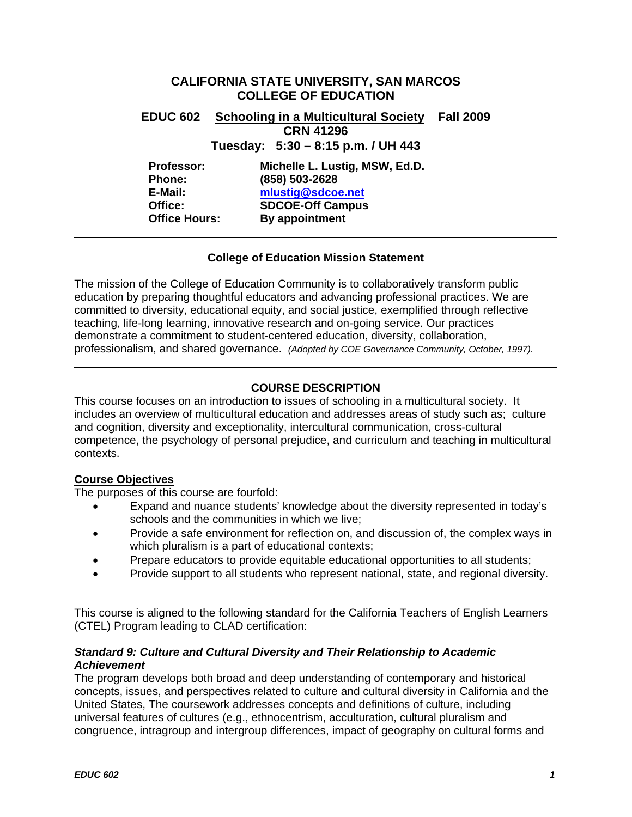# **CALIFORNIA STATE UNIVERSITY, SAN MARCOS COLLEGE OF EDUCATION**

**EDUC 602 Schooling in a Multicultural Society Fall 2009 CRN 41296** 

**Tuesday: 5:30 – 8:15 p.m. / UH 443** 

**Professor: Michelle L. Lustig, MSW, Ed.D. Phone: (858) 503-2628 E-Mail: mlustig@sdcoe.net Office: SDCOE-Off Campus Office Hours: By appointment** 

### **College of Education Mission Statement**

The mission of the College of Education Community is to collaboratively transform public education by preparing thoughtful educators and advancing professional practices. We are committed to diversity, educational equity, and social justice, exemplified through reflective teaching, life-long learning, innovative research and on-going service. Our practices demonstrate a commitment to student-centered education, diversity, collaboration, professionalism, and shared governance. *(Adopted by COE Governance Community, October, 1997).* 

# **COURSE DESCRIPTION**

This course focuses on an introduction to issues of schooling in a multicultural society. It includes an overview of multicultural education and addresses areas of study such as; culture and cognition, diversity and exceptionality, intercultural communication, cross-cultural competence, the psychology of personal prejudice, and curriculum and teaching in multicultural contexts.

# **Course Objectives**

The purposes of this course are fourfold:

- Expand and nuance students' knowledge about the diversity represented in today's schools and the communities in which we live;
- Provide a safe environment for reflection on, and discussion of, the complex ways in which pluralism is a part of educational contexts;
- Prepare educators to provide equitable educational opportunities to all students;
- Provide support to all students who represent national, state, and regional diversity.

This course is aligned to the following standard for the California Teachers of English Learners (CTEL) Program leading to CLAD certification:

# *Standard 9: Culture and Cultural Diversity and Their Relationship to Academic Achievement*

The program develops both broad and deep understanding of contemporary and historical concepts, issues, and perspectives related to culture and cultural diversity in California and the United States, The coursework addresses concepts and definitions of culture, including universal features of cultures (e.g., ethnocentrism, acculturation, cultural pluralism and congruence, intragroup and intergroup differences, impact of geography on cultural forms and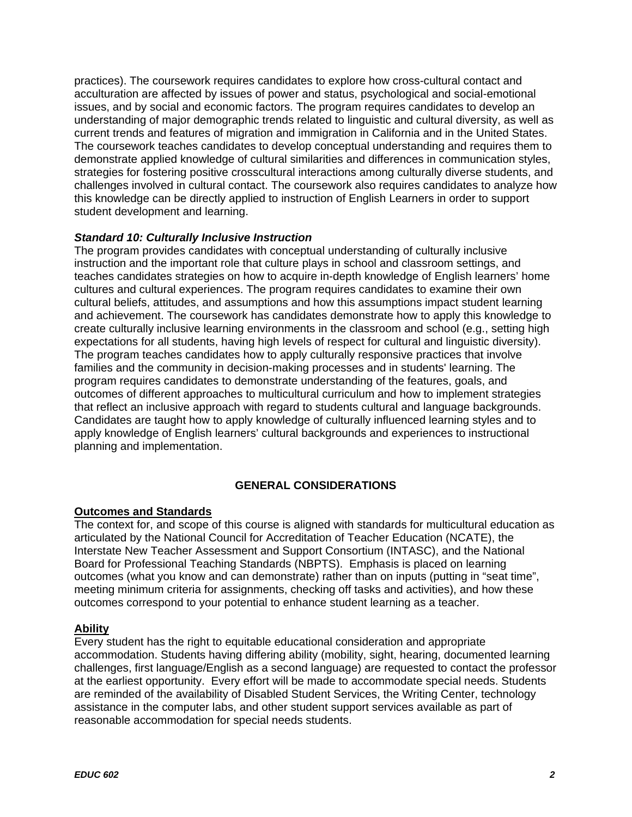practices). The coursework requires candidates to explore how cross-cultural contact and acculturation are affected by issues of power and status, psychological and social-emotional issues, and by social and economic factors. The program requires candidates to develop an understanding of major demographic trends related to linguistic and cultural diversity, as well as current trends and features of migration and immigration in California and in the United States. The coursework teaches candidates to develop conceptual understanding and requires them to demonstrate applied knowledge of cultural similarities and differences in communication styles, strategies for fostering positive crosscultural interactions among culturally diverse students, and challenges involved in cultural contact. The coursework also requires candidates to analyze how this knowledge can be directly applied to instruction of English Learners in order to support student development and learning.

# *Standard 10: Culturally Inclusive Instruction*

The program provides candidates with conceptual understanding of culturally inclusive instruction and the important role that culture plays in school and classroom settings, and teaches candidates strategies on how to acquire in-depth knowledge of English learners' home cultures and cultural experiences. The program requires candidates to examine their own cultural beliefs, attitudes, and assumptions and how this assumptions impact student learning and achievement. The coursework has candidates demonstrate how to apply this knowledge to create culturally inclusive learning environments in the classroom and school (e.g., setting high expectations for all students, having high levels of respect for cultural and linguistic diversity). The program teaches candidates how to apply culturally responsive practices that involve families and the community in decision-making processes and in students' learning. The program requires candidates to demonstrate understanding of the features, goals, and outcomes of different approaches to multicultural curriculum and how to implement strategies that reflect an inclusive approach with regard to students cultural and language backgrounds. Candidates are taught how to apply knowledge of culturally influenced learning styles and to apply knowledge of English learners' cultural backgrounds and experiences to instructional planning and implementation.

# **GENERAL CONSIDERATIONS**

### **Outcomes and Standards**

The context for, and scope of this course is aligned with standards for multicultural education as articulated by the National Council for Accreditation of Teacher Education (NCATE), the Interstate New Teacher Assessment and Support Consortium (INTASC), and the National Board for Professional Teaching Standards (NBPTS). Emphasis is placed on learning outcomes (what you know and can demonstrate) rather than on inputs (putting in "seat time", meeting minimum criteria for assignments, checking off tasks and activities), and how these outcomes correspond to your potential to enhance student learning as a teacher.

### **Ability**

Every student has the right to equitable educational consideration and appropriate accommodation. Students having differing ability (mobility, sight, hearing, documented learning challenges, first language/English as a second language) are requested to contact the professor at the earliest opportunity. Every effort will be made to accommodate special needs. Students are reminded of the availability of Disabled Student Services, the Writing Center, technology assistance in the computer labs, and other student support services available as part of reasonable accommodation for special needs students.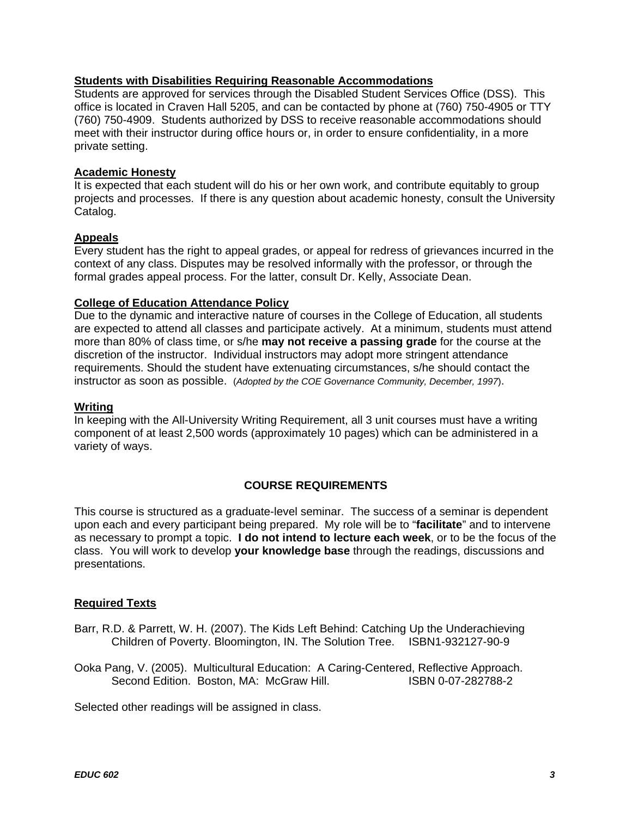## **Students with Disabilities Requiring Reasonable Accommodations**

Students are approved for services through the Disabled Student Services Office (DSS). This office is located in Craven Hall 5205, and can be contacted by phone at (760) 750-4905 or TTY (760) 750-4909. Students authorized by DSS to receive reasonable accommodations should meet with their instructor during office hours or, in order to ensure confidentiality, in a more private setting.

## **Academic Honesty**

It is expected that each student will do his or her own work, and contribute equitably to group projects and processes. If there is any question about academic honesty, consult the University Catalog.

# **Appeals**

Every student has the right to appeal grades, or appeal for redress of grievances incurred in the context of any class. Disputes may be resolved informally with the professor, or through the formal grades appeal process. For the latter, consult Dr. Kelly, Associate Dean.

### **College of Education Attendance Policy**

Due to the dynamic and interactive nature of courses in the College of Education, all students are expected to attend all classes and participate actively. At a minimum, students must attend more than 80% of class time, or s/he **may not receive a passing grade** for the course at the discretion of the instructor. Individual instructors may adopt more stringent attendance requirements. Should the student have extenuating circumstances, s/he should contact the instructor as soon as possible. (*Adopted by the COE Governance Community, December, 1997*).

#### **Writing**

In keeping with the All-University Writing Requirement, all 3 unit courses must have a writing component of at least 2,500 words (approximately 10 pages) which can be administered in a variety of ways.

# **COURSE REQUIREMENTS**

This course is structured as a graduate-level seminar. The success of a seminar is dependent upon each and every participant being prepared. My role will be to "**facilitate**" and to intervene as necessary to prompt a topic. **I do not intend to lecture each week**, or to be the focus of the class. You will work to develop **your knowledge base** through the readings, discussions and presentations.

### **Required Texts**

- Barr, R.D. & Parrett, W. H. (2007). The Kids Left Behind: Catching Up the Underachieving Children of Poverty. Bloomington, IN. The Solution Tree. ISBN1-932127-90-9
- Ooka Pang, V. (2005). Multicultural Education: A Caring-Centered, Reflective Approach. Second Edition. Boston, MA: McGraw Hill. **ISBN 0-07-282788-2**

Selected other readings will be assigned in class.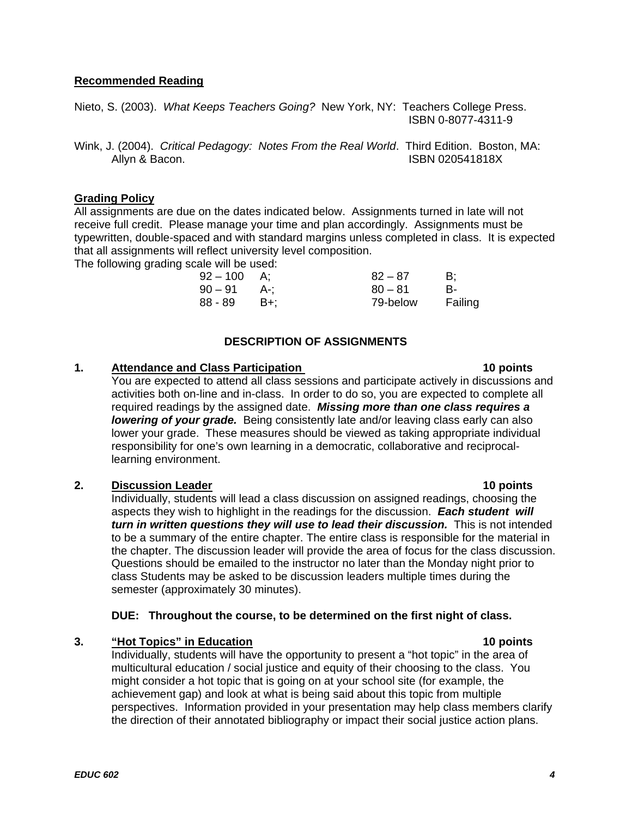# **Recommended Reading**

Nieto, S. (2003). *What Keeps Teachers Going?* New York, NY: Teachers College Press. ISBN 0-8077-4311-9

Wink, J. (2004). *Critical Pedagogy: Notes From the Real World*. Third Edition. Boston, MA: Allyn & Bacon. **ISBN 020541818X** 

# **Grading Policy**

All assignments are due on the dates indicated below. Assignments turned in late will not receive full credit. Please manage your time and plan accordingly. Assignments must be typewritten, double-spaced and with standard margins unless completed in class. It is expected that all assignments will reflect university level composition.

The following grading scale will be used:

| $92 - 100$ A: |       | $82 - 87$ | B:      |
|---------------|-------|-----------|---------|
| 90 – 91       | - A-: | $80 - 81$ | В-      |
| 88 - 89       | – B+: | 79-below  | Failing |

# **DESCRIPTION OF ASSIGNMENTS**

# **1.** Attendance and Class Participation **10 points 10 points**

You are expected to attend all class sessions and participate actively in discussions and activities both on-line and in-class. In order to do so, you are expected to complete all required readings by the assigned date. *Missing more than one class requires a lowering of your grade.* Being consistently late and/or leaving class early can also lower your grade. These measures should be viewed as taking appropriate individual responsibility for one's own learning in a democratic, collaborative and reciprocallearning environment.

# **2. Discussion Leader 10 points**

Individually, students will lead a class discussion on assigned readings, choosing the aspects they wish to highlight in the readings for the discussion. *Each student will turn in written questions they will use to lead their discussion.* This is not intended to be a summary of the entire chapter. The entire class is responsible for the material in the chapter. The discussion leader will provide the area of focus for the class discussion. Questions should be emailed to the instructor no later than the Monday night prior to class Students may be asked to be discussion leaders multiple times during the semester (approximately 30 minutes).

# **DUE: Throughout the course, to be determined on the first night of class.**

### **3.** "Hot Topics" in Education **10 points 10 points**

Individually, students will have the opportunity to present a "hot topic" in the area of multicultural education / social justice and equity of their choosing to the class. You might consider a hot topic that is going on at your school site (for example, the achievement gap) and look at what is being said about this topic from multiple perspectives. Information provided in your presentation may help class members clarify the direction of their annotated bibliography or impact their social justice action plans.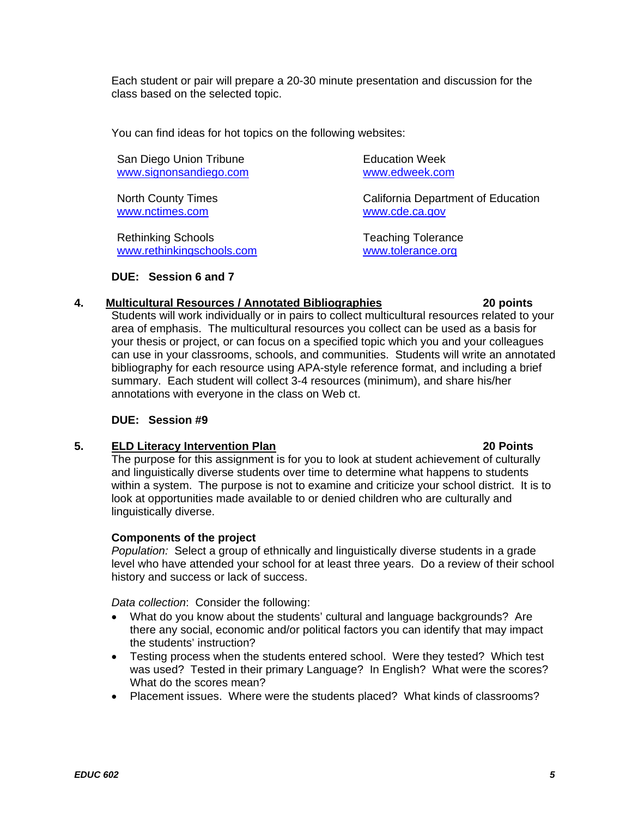Each student or pair will prepare a 20-30 minute presentation and discussion for the class based on the selected topic.

You can find ideas for hot topics on the following websites:

San Diego Union Tribune **Education Week** www.signonsandiego.com www.edweek.com

www.nctimes.com

Rethinking Schools Teaching Tolerance www.rethinkingschools.com www.tolerance.org

North County Times<br>
We california Department of Education<br>
We calculate the www.cde.ca.gov

**DUE: Session 6 and 7** 

# **4. Multicultural Resources / Annotated Bibliographies 20 points**

Students will work individually or in pairs to collect multicultural resources related to your area of emphasis. The multicultural resources you collect can be used as a basis for your thesis or project, or can focus on a specified topic which you and your colleagues can use in your classrooms, schools, and communities. Students will write an annotated bibliography for each resource using APA-style reference format, and including a brief summary. Each student will collect 3-4 resources (minimum), and share his/her annotations with everyone in the class on Web ct.

# **DUE: Session #9**

# **5.** ELD Literacy Intervention Plan **1996 1997 120 Points 20 Points**

The purpose for this assignment is for you to look at student achievement of culturally and linguistically diverse students over time to determine what happens to students within a system. The purpose is not to examine and criticize your school district. It is to look at opportunities made available to or denied children who are culturally and linguistically diverse.

# **Components of the project**

 *Population:* Select a group of ethnically and linguistically diverse students in a grade level who have attended your school for at least three years. Do a review of their school history and success or lack of success.

*Data collection*: Consider the following:

- What do you know about the students' cultural and language backgrounds? Are there any social, economic and/or political factors you can identify that may impact the students' instruction?
- Testing process when the students entered school. Were they tested? Which test was used? Tested in their primary Language? In English? What were the scores? What do the scores mean?
- Placement issues. Where were the students placed? What kinds of classrooms?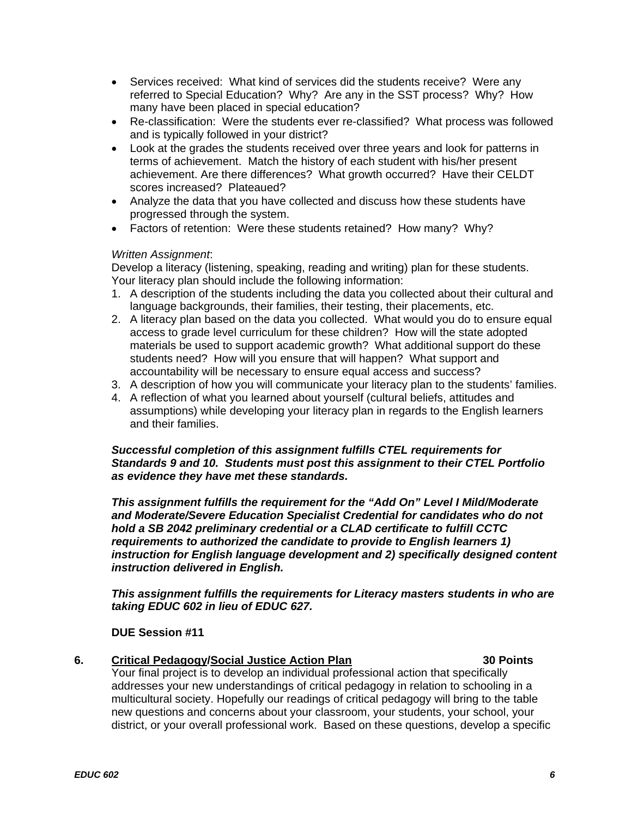- Services received: What kind of services did the students receive? Were any referred to Special Education? Why? Are any in the SST process? Why? How many have been placed in special education?
- Re-classification: Were the students ever re-classified? What process was followed and is typically followed in your district?
- Look at the grades the students received over three years and look for patterns in terms of achievement. Match the history of each student with his/her present achievement. Are there differences? What growth occurred? Have their CELDT scores increased? Plateaued?
- Analyze the data that you have collected and discuss how these students have progressed through the system.
- Factors of retention: Were these students retained? How many? Why?

# *Written Assignment*:

Develop a literacy (listening, speaking, reading and writing) plan for these students. Your literacy plan should include the following information:

- 1. A description of the students including the data you collected about their cultural and language backgrounds, their families, their testing, their placements, etc.
- accountability will be necessary to ensure equal access and success? 2. A literacy plan based on the data you collected. What would you do to ensure equal access to grade level curriculum for these children? How will the state adopted materials be used to support academic growth? What additional support do these students need? How will you ensure that will happen? What support and
- 3. A description of how you will communicate your literacy plan to the students' families.
- 4. A reflection of what you learned about yourself (cultural beliefs, attitudes and assumptions) while developing your literacy plan in regards to the English learners and their families.

## *Successful completion of this assignment fulfills CTEL requirements for Standards 9 and 10. Students must post this assignment to their CTEL Portfolio as evidence they have met these standards.*

*This assignment fulfills the requirement for the "Add On" Level I Mild/Moderate and Moderate/Severe Education Specialist Credential for candidates who do not hold a SB 2042 preliminary credential or a CLAD certificate to fulfill CCTC requirements to authorized the candidate to provide to English learners 1) instruction for English language development and 2) specifically designed content instruction delivered in English.* 

*This assignment fulfills the requirements for Literacy masters students in who are taking EDUC 602 in lieu of EDUC 627.* 

### **DUE Session #11**

### 6. Critical Pedagogy/Social Justice Action Plan **1988 1988** 30 Points

Your final project is to develop an individual professional action that specifically addresses your new understandings of critical pedagogy in relation to schooling in a multicultural society. Hopefully our readings of critical pedagogy will bring to the table new questions and concerns about your classroom, your students, your school, your district, or your overall professional work. Based on these questions, develop a specific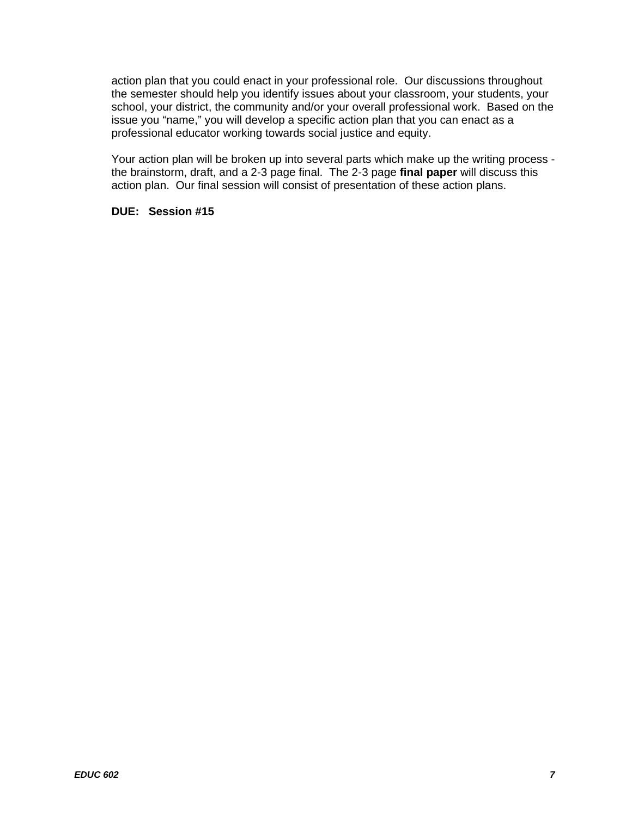action plan that you could enact in your professional role. Our discussions throughout the semester should help you identify issues about your classroom, your students, your school, your district, the community and/or your overall professional work. Based on the issue you "name," you will develop a specific action plan that you can enact as a professional educator working towards social justice and equity.

Your action plan will be broken up into several parts which make up the writing process the brainstorm, draft, and a 2-3 page final. The 2-3 page **final paper** will discuss this action plan. Our final session will consist of presentation of these action plans.

### **DUE: Session #15**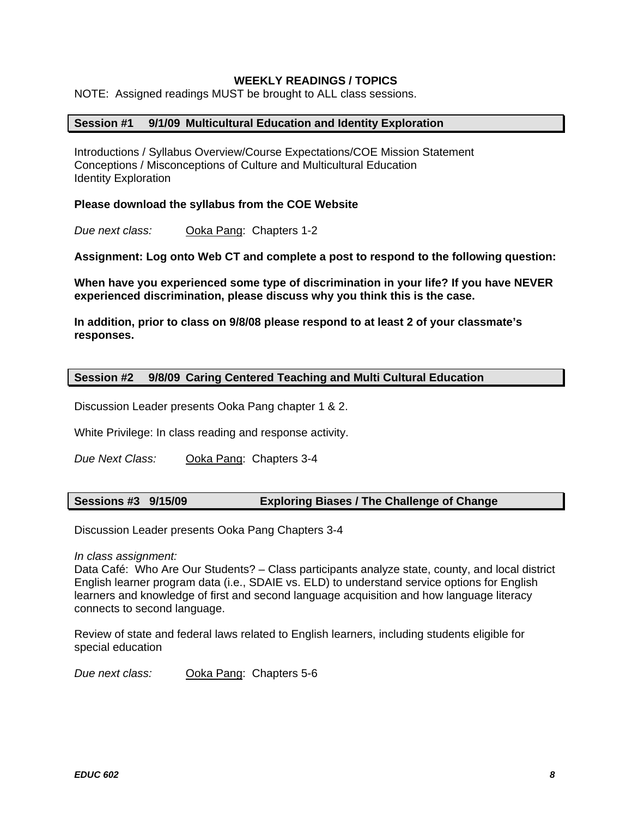# **WEEKLY READINGS / TOPICS**

NOTE: Assigned readings MUST be brought to ALL class sessions.

### **Session #1 9/1/09 Multicultural Education and Identity Exploration**

Introductions / Syllabus Overview/Course Expectations/COE Mission Statement Conceptions / Misconceptions of Culture and Multicultural Education Identity Exploration

### **Please download the syllabus from the COE Website**

*Due next class:* Ooka Pang: Chapters 1-2

**Assignment: Log onto Web CT and complete a post to respond to the following question:** 

**When have you experienced some type of discrimination in your life? If you have NEVER experienced discrimination, please discuss why you think this is the case.** 

**In addition, prior to class on 9/8/08 please respond to at least 2 of your classmate's responses.** 

#### **Session #2 9/8/09 Caring Centered Teaching and Multi Cultural Education**

Discussion Leader presents Ooka Pang chapter 1 & 2.

White Privilege: In class reading and response activity.

**Due Next Class: Ooka Pang: Chapters 3-4** 

### **Sessions #3 9/15/09 Exploring Biases / The Challenge of Change**

Discussion Leader presents Ooka Pang Chapters 3-4

*In class assignment:* 

Data Café: Who Are Our Students? – Class participants analyze state, county, and local district English learner program data (i.e., SDAIE vs. ELD) to understand service options for English learners and knowledge of first and second language acquisition and how language literacy connects to second language.

Review of state and federal laws related to English learners, including students eligible for special education

*Due next class:* Ooka Pang: Chapters 5-6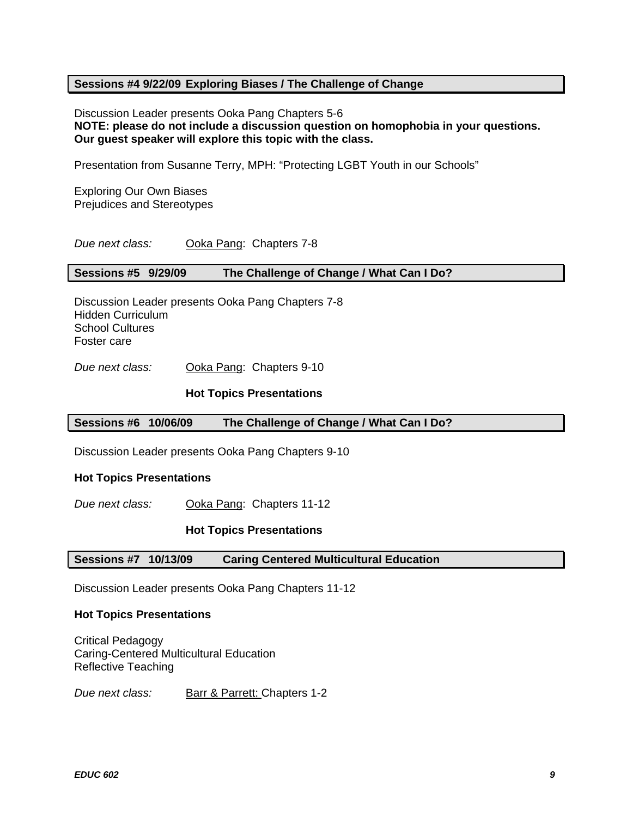## **Sessions #4 9/22/09 Exploring Biases / The Challenge of Change**

Discussion Leader presents Ooka Pang Chapters 5-6 **NOTE: please do not include a discussion question on homophobia in your questions. Our guest speaker will explore this topic with the class.** 

Presentation from Susanne Terry, MPH: "Protecting LGBT Youth in our Schools"

Exploring Our Own Biases Prejudices and Stereotypes

*Due next class:* Ooka Pang: Chapters 7-8

#### **Sessions #5 9/29/09 The Challenge of Change / What Can I Do?**

Discussion Leader presents Ooka Pang Chapters 7-8 Hidden Curriculum School Cultures Foster care

**Due next class:** Ooka Pang: Chapters 9-10

#### **Hot Topics Presentations**

### **Sessions #6 10/06/09 The Challenge of Change / What Can I Do?**

Discussion Leader presents Ooka Pang Chapters 9-10

#### **Hot Topics Presentations**

*Due next class:* Ooka Pang: Chapters 11-12

#### **Hot Topics Presentations**

#### **Sessions #7 10/13/09 Caring Centered Multicultural Education**

Discussion Leader presents Ooka Pang Chapters 11-12

#### **Hot Topics Presentations**

Critical Pedagogy Caring-Centered Multicultural Education Reflective Teaching

*Due next class:* Barr & Parrett: Chapters 1-2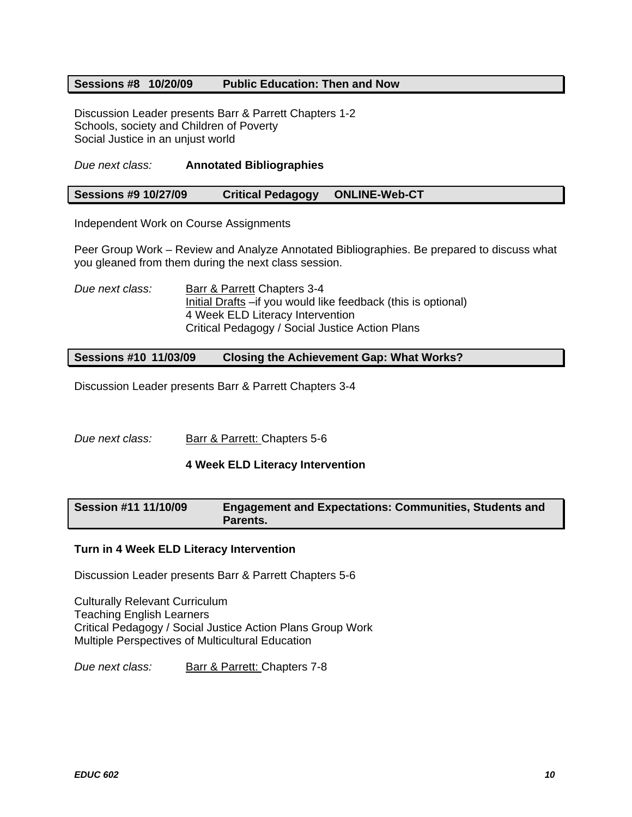## **Sessions #8 10/20/09 Public Education: Then and Now**

Discussion Leader presents Barr & Parrett Chapters 1-2 Schools, society and Children of Poverty Social Justice in an unjust world

## *Due next class:* **Annotated Bibliographies**

### **Sessions #9 10/27/09 Critical Pedagogy ONLINE-Web-CT**

Independent Work on Course Assignments

Peer Group Work – Review and Analyze Annotated Bibliographies. Be prepared to discuss what you gleaned from them during the next class session.

*Due next class:* Barr & Parrett Chapters 3-4 Initial Drafts –if you would like feedback (this is optional) 4 Week ELD Literacy Intervention Critical Pedagogy / Social Justice Action Plans

**Sessions #10 11/03/09 Closing the Achievement Gap: What Works?** 

Discussion Leader presents Barr & Parrett Chapters 3-4

*Due next class:* Barr & Parrett: Chapters 5-6

### **4 Week ELD Literacy Intervention**

# **Session #11 11/10/09 Engagement and Expectations: Communities, Students and Parents.**

### **Turn in 4 Week ELD Literacy Intervention**

Discussion Leader presents Barr & Parrett Chapters 5-6

Culturally Relevant Curriculum Teaching English Learners Critical Pedagogy / Social Justice Action Plans Group Work Multiple Perspectives of Multicultural Education

*Due next class:* Barr & Parrett: Chapters 7-8